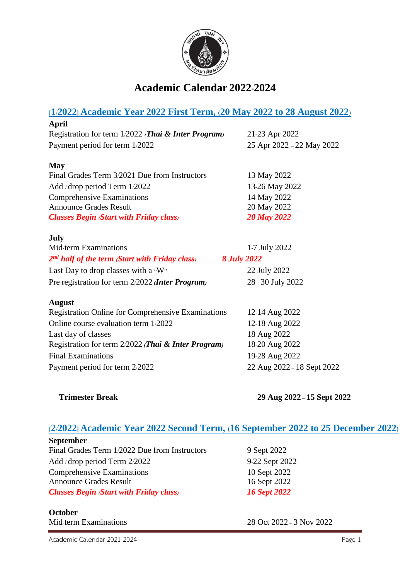

# **Academic Calendar 2022-2024**

| [1/2022] Academic Year 2022 First Term, (20 May 2022 to 28 August 2022) |                            |
|-------------------------------------------------------------------------|----------------------------|
| April                                                                   |                            |
| Registration for term 1/2022 (Thai & Inter Program)                     | 21-23 Apr 2022             |
| Payment period for term 1/2022                                          | 25 Apr 2022 - 22 May 2022  |
| <b>May</b>                                                              |                            |
| Final Grades Term 3/2021 Due from Instructors                           | 13 May 2022                |
| Add / drop period Term 1/2022                                           | 13-26 May 2022             |
| <b>Comprehensive Examinations</b>                                       | 14 May 2022                |
| <b>Announce Grades Result</b>                                           | 20 May 2022                |
| <b>Classes Begin (Start with Friday class)</b>                          | <b>20 May 2022</b>         |
| <b>July</b>                                                             |                            |
| Mid-term Examinations                                                   | 1-7 July 2022              |
| $2nd$ half of the term (Start with Friday class)<br><b>8 July 2022</b>  |                            |
| Last Day to drop classes with a "W"                                     | 22 July 2022               |
| Pre-registration for term 2/2022 <i>(Inter Program)</i>                 | 28 - 30 July 2022          |
| <b>August</b>                                                           |                            |
| <b>Registration Online for Comprehensive Examinations</b>               | 12-14 Aug 2022             |
| Online course evaluation term 1/2022                                    | 12-18 Aug 2022             |
| Last day of classes                                                     | 18 Aug 2022                |
| Registration for term 2/2022 (Thai & Inter Program)                     | 18-20 Aug 2022             |
| <b>Final Examinations</b>                                               | 19-28 Aug 2022             |
| Payment period for term 2/2022                                          | 22 Aug 2022 - 18 Sept 2022 |

**Trimester Break 29 Aug 2022** – **15 Sept 2022**

## **[2/2022] Academic Year 2022 Second Term, (16 September 2022 to 25 December 2022)**

| <b>September</b>                               |
|------------------------------------------------|
| Final Grades Term 1/2022 Due from Instructors  |
| Add / drop period Term $2/2022$                |
| Comprehensive Examinations                     |
| <b>Announce Grades Result</b>                  |
| <b>Classes Begin (Start with Friday class)</b> |

**October**

Mid-term Examinations 28 Oct 2022 - 3 Nov 2022

9 Sept 2022 9-22 Sept 2022 10 Sept 2022 16 Sept 2022 *Classes Begin (Start with Friday class) 16 Sept 2022*

Academic Calendar 2021-2024 **Page 1**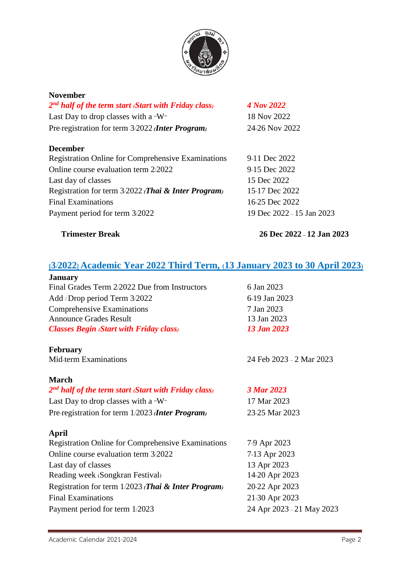

| <b>November</b>                                           |                           |
|-----------------------------------------------------------|---------------------------|
| $2nd$ half of the term start Start with Friday class)     | 4 Nov 2022                |
| Last Day to drop classes with a "W"                       | 18 Nov 2022               |
| Pre-registration for term 3/2022 <i>Inter Program</i>     | 24-26 Nov 2022            |
| <b>December</b>                                           |                           |
| <b>Registration Online for Comprehensive Examinations</b> | 9-11 Dec 2022             |
| Online course evaluation term 2/2022                      | 9-15 Dec 2022             |
| Last day of classes                                       | 15 Dec 2022               |
| Registration for term 3/2022 (Thai & Inter Program)       | 15-17 Dec 2022            |
| <b>Final Examinations</b>                                 | 16-25 Dec 2022            |
| Payment period for term 3/2022                            | 19 Dec 2022 - 15 Jan 2023 |
| <b>Trimester Break</b>                                    | 26 Dec 2022 - 12 Jan 2023 |

### **[3/2022] Academic Year 2022 Third Term, (13 January 2023 to 30 April 2023)**

| <b>January</b>                                 |               |
|------------------------------------------------|---------------|
| Final Grades Term 2/2022 Due from Instructors  | 6 Jan 2023    |
| Add / Drop period Term 3/2022                  | 6-19 Jan 2023 |
| <b>Comprehensive Examinations</b>              | 7 Jan 2023    |
| <b>Announce Grades Result</b>                  | 13 Jan 2023   |
| <b>Classes Begin Start with Friday class</b> ) | 13 Jan 2023   |

# **February**

Mid-term Examinations 24 Feb 2023 – 2 Mar 2023

#### **March**

### *2 nd half of the term start (Start with Friday class) 3 Mar 2023*

Last Day to drop classes with a "W" 17 Mar 2023 Pre-registration for term 1/2023 *(Inter Program)* 23-25 Mar 2023

### **April**

Registration Online for Comprehensive Examinations 7-9 Apr 2023 Online course evaluation term 3/2022 7-13 Apr 2023 Last day of classes 13 Apr 2023 Reading week (Songkran Festival) 14-20 Apr 2023 Registration for term 1/2023 *(Thai & Inter Program)* 20-22 Apr 2023 Final Examinations 21-30 Apr 2023 Payment period for term 1/2023 24 Apr 2023 - 21 May 2023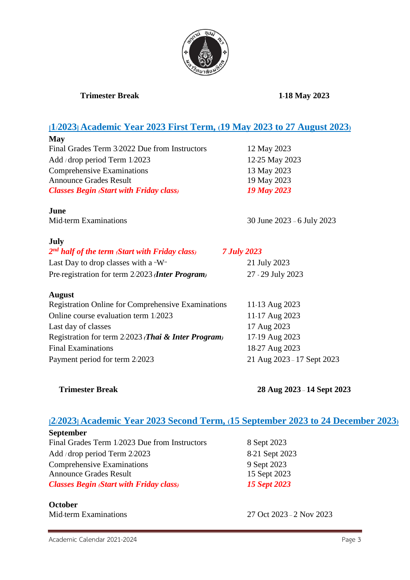

### **Trimester Break 1-18 May 2023**

## **[1/2023] Academic Year 2023 First Term, (19 May 2023 to 27 August 2023)**

| <b>May</b>                                                     |                            |
|----------------------------------------------------------------|----------------------------|
| Final Grades Term 3/2022 Due from Instructors                  | 12 May 2023                |
| Add / drop period Term 1/2023                                  | 12-25 May 2023             |
| <b>Comprehensive Examinations</b>                              | 13 May 2023                |
| <b>Announce Grades Result</b>                                  | 19 May 2023                |
| <b>Classes Begin (Start with Friday class)</b>                 | <b>19 May 2023</b>         |
| June                                                           |                            |
| Mid-term Examinations                                          | 30 June 2023 - 6 July 2023 |
| July                                                           |                            |
| 2 <sup>nd</sup> half of the term (Start with Friday class)     | <b>7 July 2023</b>         |
| Last Day to drop classes with a "W"                            | 21 July 2023               |
| Pre-registration for term 2/2023 <i>Inter Program</i>          | 27 - 29 July 2023          |
| <b>August</b>                                                  |                            |
| <b>Registration Online for Comprehensive Examinations</b>      | 11-13 Aug 2023             |
| Online course evaluation term 1/2023                           | 11-17 Aug 2023             |
| Last day of classes                                            | 17 Aug 2023                |
| Registration for term 2/2023 <i>(Thai &amp; Inter Program)</i> | 17-19 Aug 2023             |
| <b>Final Examinations</b>                                      | 18-27 Aug 2023             |
| Payment period for term 2/2023                                 | 21 Aug 2023 - 17 Sept 2023 |

**Trimester Break 28 Aug 2023** – **14 Sept 2023**

### **[2/2023] Academic Year 2023 Second Term, (15 September 2023 to 24 December 2023)**

| September                                      |
|------------------------------------------------|
| Final Grades Term 1/2023 Due from Instructors  |
| Add / drop period Term $2/2023$                |
| <b>Comprehensive Examinations</b>              |
| <b>Announce Grades Result</b>                  |
| <b>Classes Begin Start with Friday class</b> ) |

**October**

8 Sept 2023 8-21 Sept 2023 9 Sept 2023 15 Sept 2023 *Classes Begin (Start with Friday class) 15 Sept 2023*

Mid-term Examinations 27 Oct 2023 – 2 Nov 2023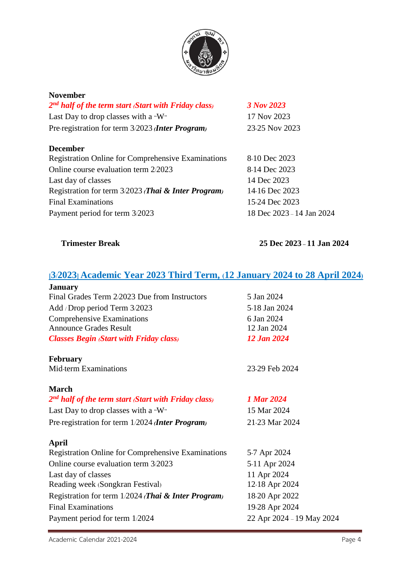

| November                                                                |                           |
|-------------------------------------------------------------------------|---------------------------|
| 2 <sup>nd</sup> half of the term start <i>(Start with Friday class)</i> | 3 Nov 2023                |
| Last Day to drop classes with a "W"                                     | 17 Nov 2023               |
| Pre-registration for term 3/2023 <i>Inter Program</i>                   | 23-25 Nov 2023            |
| December                                                                |                           |
| <b>Registration Online for Comprehensive Examinations</b>               | 8-10 Dec 2023             |
| Online course evaluation term 2/2023                                    | 8-14 Dec 2023             |
| Last day of classes                                                     | 14 Dec 2023               |
| Registration for term 3/2023 <i>(Thai &amp; Inter Program)</i>          | 14-16 Dec 2023            |
| <b>Final Examinations</b>                                               | 15-24 Dec 2023            |
| Payment period for term 3/2023                                          | 18 Dec 2023 - 14 Jan 2024 |

**Trimester Break 25 Dec 2023 – 11 Jan 2024**

# **[3/2023] Academic Year 2023 Third Term, (12 January 2024 to 28 April 2024)**

| <b>January</b>                                 |                |
|------------------------------------------------|----------------|
| Final Grades Term 2/2023 Due from Instructors  | 5 Jan 2024     |
| Add / Drop period Term 3/2023                  | 5-18 Jan 2024  |
| Comprehensive Examinations                     | 6 Jan 2024     |
| <b>Announce Grades Result</b>                  | 12 Jan 2024    |
| <b>Classes Begin (Start with Friday class)</b> | 12 Jan 2024    |
| <b>February</b>                                |                |
| Mid-term Examinations                          | 23-29 Feb 2024 |
|                                                |                |

### **March**

| 2 <sup>nd</sup> half of the term start (Start with Friday class) | 1 Mar 2024     |
|------------------------------------------------------------------|----------------|
| Last Day to drop classes with a "W"                              | 15 Mar 2024    |
| Pre-registration for term 1/2024 <i>Inter Program</i>            | 21-23 Mar 2024 |

#### **April**

| 5-7 Apr 2024              |
|---------------------------|
| 5-11 Apr 2024             |
| 11 Apr 2024               |
| 12-18 Apr 2024            |
| 18-20 Apr 2022            |
| 19-28 Apr 2024            |
| 22 Apr 2024 - 19 May 2024 |
|                           |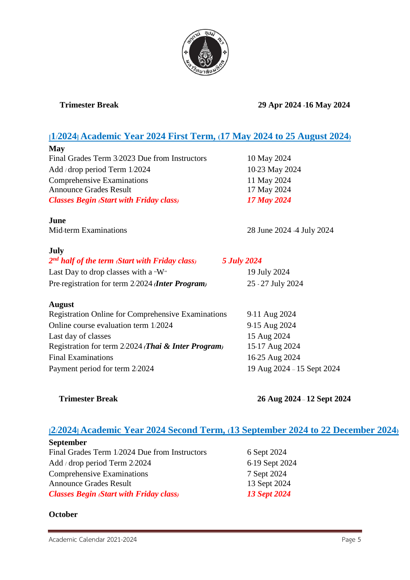

**Trimester Break 29 Apr 2024 -16 May 2024**

## **[1/2024] Academic Year 2024 First Term, (17 May 2024 to 25 August 2024)**

| 10 May 2024  |
|--------------|
| 10-23 May 20 |
| 11 May 2024  |
| 17 May 2024  |
| 17 May 2024  |
|              |

**June**

Mid-term Examinations 28 June 2024 -4 July 2024

10 May 2024 10-23 May 2024 11 May 2024 17 May 2024

#### **July**

| $2nd$ half of the term (Start with Friday class)      | 5 July 2024       |
|-------------------------------------------------------|-------------------|
| Last Day to drop classes with a "W"                   | 19 July 2024      |
| Pre-registration for term 2/2024 <i>Inter Program</i> | 25 - 27 July 2024 |

#### **August**

| 9-11 Aug 2024              |
|----------------------------|
| 9-15 Aug 2024              |
| 15 Aug 2024                |
| 15-17 Aug 2024             |
| 16-25 Aug 2024             |
| 19 Aug 2024 - 15 Sept 2024 |
|                            |

**Trimester Break 26 Aug 2024** – **12 Sept 2024**

# **[2/2024] Academic Year 2024 Second Term, (13 September 2024 to 22 December 2024)**

| <b>September</b>                               |                     |
|------------------------------------------------|---------------------|
| Final Grades Term 1/2024 Due from Instructors  | 6 Sept 2024         |
| Add / drop period Term $2/2024$                | 6-19 Sept 2024      |
| Comprehensive Examinations                     | 7 Sept 2024         |
| <b>Announce Grades Result</b>                  | 13 Sept 2024        |
| <b>Classes Begin (Start with Friday class)</b> | <b>13 Sept 2024</b> |

### **October**

Academic Calendar 2021-2024 **Page 5**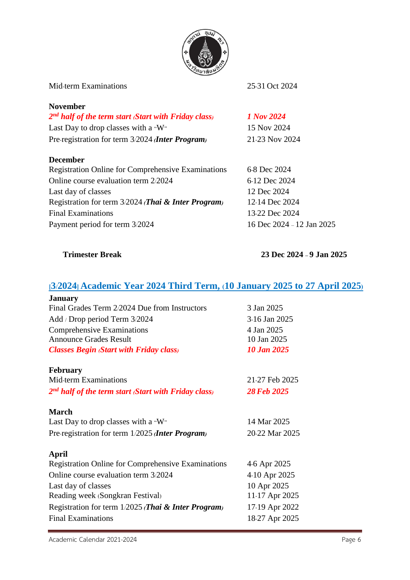

| Mid-term Examinations                                     | 25-31 Oct 2024            |
|-----------------------------------------------------------|---------------------------|
| <b>November</b>                                           |                           |
| $2nd$ half of the term start (Start with Friday class)    | 1 Nov 2024                |
| Last Day to drop classes with a "W"                       | 15 Nov 2024               |
| Pre-registration for term 3/2024 <i>Inter Program</i>     | 21-23 Nov 2024            |
| <b>December</b>                                           |                           |
| <b>Registration Online for Comprehensive Examinations</b> | 6-8 Dec 2024              |
| Online course evaluation term 2/2024                      | 6-12 Dec 2024             |
| Last day of classes                                       | 12 Dec 2024               |
| Registration for term 3/2024 (Thai & Inter Program)       | 12-14 Dec 2024            |
| <b>Final Examinations</b>                                 | 13-22 Dec 2024            |
| Payment period for term 3/2024                            | 16 Dec 2024 - 12 Jan 2025 |

**Trimester Break 23 Dec 2024 – 9 Jan 2025**

# **[3/2024] Academic Year 2024 Third Term, (10 January 2025 to 27 April 2025)**

| <b>January</b>                                            |                    |
|-----------------------------------------------------------|--------------------|
| Final Grades Term 2/2024 Due from Instructors             | 3 Jan 2025         |
| Add / Drop period Term 3/2024                             | 3-16 Jan 2025      |
| <b>Comprehensive Examinations</b>                         | 4 Jan 2025         |
| <b>Announce Grades Result</b>                             | 10 Jan 2025        |
| <b>Classes Begin Start with Friday class</b> )            | <b>10 Jan 2025</b> |
| <b>February</b>                                           |                    |
| <b>Mid-term Examinations</b>                              | 21-27 Feb 2025     |
| $2nd$ half of the term start (Start with Friday class)    | <b>28 Feb 2025</b> |
| March                                                     |                    |
| Last Day to drop classes with a "W"                       | 14 Mar 2025        |
| Pre-registration for term 1/2025 <i>Inter Program</i>     | 20-22 Mar 2025     |
| <b>April</b>                                              |                    |
| <b>Registration Online for Comprehensive Examinations</b> | 4-6 Apr 2025       |
| Online course evaluation term 3/2024                      | 4-10 Apr 2025      |
| Last day of classes                                       | 10 Apr 2025        |
| Reading week (Songkran Festival)                          | 11-17 Apr 2025     |
| Registration for term 1/2025 (Thai & Inter Program)       | 17-19 Apr 2022     |
| <b>Final Examinations</b>                                 | 18-27 Apr 2025     |